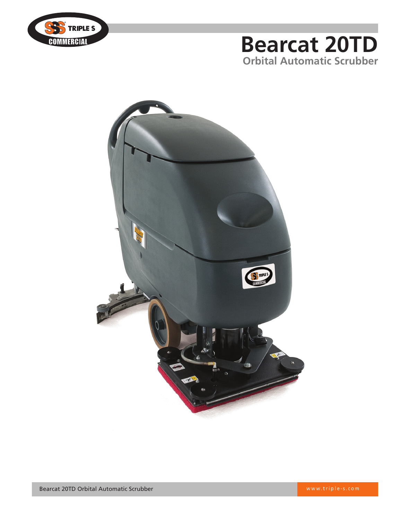

## **Bearcat 20TD Orbital Automatic Scrubber**